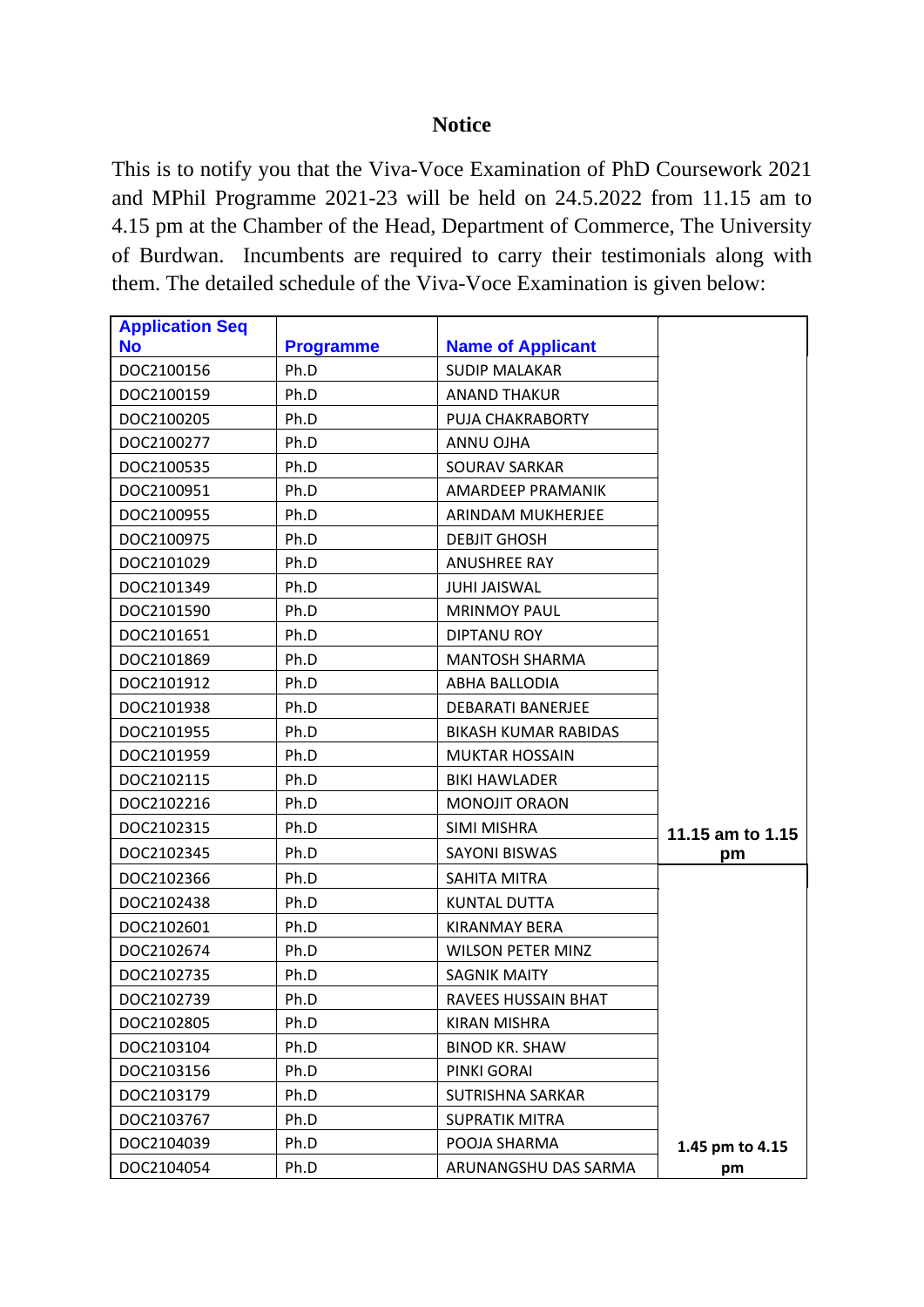## **Notice**

This is to notify you that the Viva-Voce Examination of PhD Coursework 2021 and MPhil Programme 2021-23 will be held on 24.5.2022 from 11.15 am to 4.15 pm at the Chamber of the Head, Department of Commerce, The University of Burdwan. Incumbents are required to carry their testimonials along with them. The detailed schedule of the Viva-Voce Examination is given below:

| <b>Application Seq</b> |                  |                             |                  |
|------------------------|------------------|-----------------------------|------------------|
| <b>No</b>              | <b>Programme</b> | <b>Name of Applicant</b>    |                  |
| DOC2100156             | Ph.D             | <b>SUDIP MALAKAR</b>        |                  |
| DOC2100159             | Ph.D             | <b>ANAND THAKUR</b>         |                  |
| DOC2100205             | Ph.D             | PUJA CHAKRABORTY            |                  |
| DOC2100277             | Ph.D             | ANNU OJHA                   |                  |
| DOC2100535             | Ph.D             | <b>SOURAV SARKAR</b>        |                  |
| DOC2100951             | Ph.D             | AMARDEEP PRAMANIK           |                  |
| DOC2100955             | Ph.D             | ARINDAM MUKHERJEE           |                  |
| DOC2100975             | Ph.D             | <b>DEBJIT GHOSH</b>         |                  |
| DOC2101029             | Ph.D             | <b>ANUSHREE RAY</b>         |                  |
| DOC2101349             | Ph.D             | <b>JUHI JAISWAL</b>         |                  |
| DOC2101590             | Ph.D             | <b>MRINMOY PAUL</b>         |                  |
| DOC2101651             | Ph.D             | <b>DIPTANU ROY</b>          |                  |
| DOC2101869             | Ph.D             | <b>MANTOSH SHARMA</b>       |                  |
| DOC2101912             | Ph.D             | <b>ABHA BALLODIA</b>        |                  |
| DOC2101938             | Ph.D             | DEBARATI BANERJEE           |                  |
| DOC2101955             | Ph.D             | <b>BIKASH KUMAR RABIDAS</b> |                  |
| DOC2101959             | Ph.D             | <b>MUKTAR HOSSAIN</b>       |                  |
| DOC2102115             | Ph.D             | <b>BIKI HAWLADER</b>        |                  |
| DOC2102216             | Ph.D             | MONOJIT ORAON               |                  |
| DOC2102315             | Ph.D             | SIMI MISHRA                 | 11.15 am to 1.15 |
| DOC2102345             | Ph.D             | <b>SAYONI BISWAS</b>        | pm               |
| DOC2102366             | Ph.D             | SAHITA MITRA                |                  |
| DOC2102438             | Ph.D             | <b>KUNTAL DUTTA</b>         |                  |
| DOC2102601             | Ph.D             | <b>KIRANMAY BERA</b>        |                  |
| DOC2102674             | Ph.D             | <b>WILSON PETER MINZ</b>    |                  |
| DOC2102735             | Ph.D             | <b>SAGNIK MAITY</b>         |                  |
| DOC2102739             | Ph.D             | RAVEES HUSSAIN BHAT         |                  |
| DOC2102805             | Ph.D             | <b>KIRAN MISHRA</b>         |                  |
| DOC2103104             | Ph.D             | <b>BINOD KR. SHAW</b>       |                  |
| DOC2103156             | Ph.D             | PINKI GORAI                 |                  |
| DOC2103179             | Ph.D             | <b>SUTRISHNA SARKAR</b>     |                  |
| DOC2103767             | Ph.D             | <b>SUPRATIK MITRA</b>       |                  |
| DOC2104039             | Ph.D             | POOJA SHARMA                | 1.45 pm to 4.15  |
| DOC2104054             | Ph.D             | ARUNANGSHU DAS SARMA        | pm               |